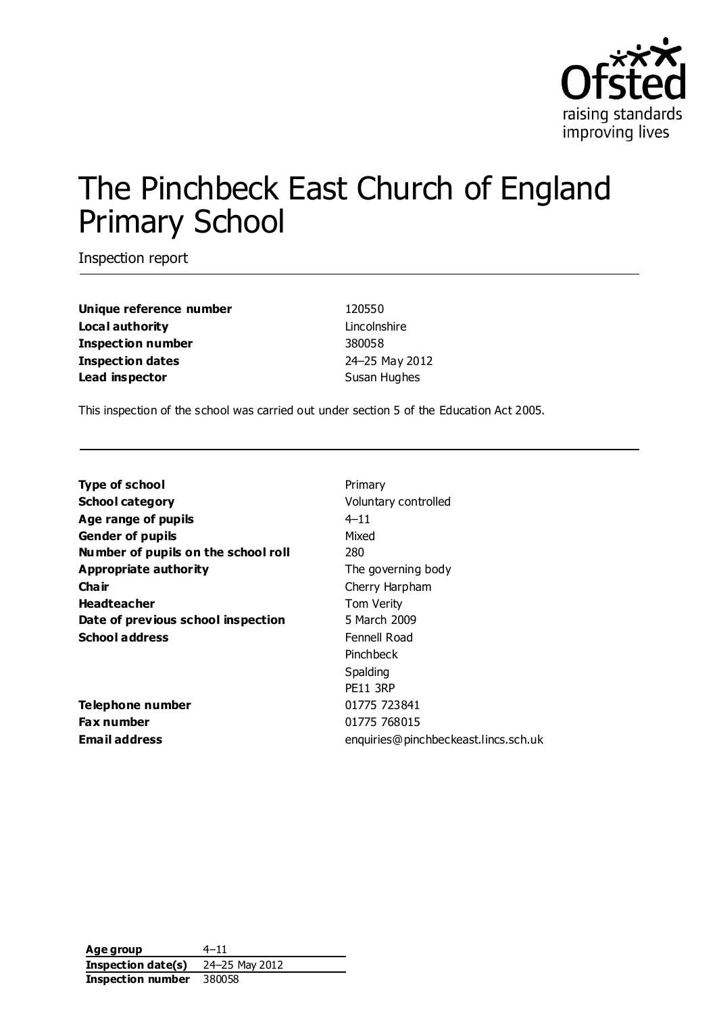

# The Pinchbeck East Church of England Primary School

Inspection report

| Unique reference number  |
|--------------------------|
| Local authority          |
| <b>Inspection number</b> |
| <b>Inspection dates</b>  |
| Lead inspector           |

**Unique reference number** 120550 Lincolnshire **Inspection number** 380058 **Inspection dates** 24–25 May 2012 **Susan Hughes** 

This inspection of the school was carried out under section 5 of the Education Act 2005.

| <b>Type of school</b>               | Primary                              |
|-------------------------------------|--------------------------------------|
| <b>School category</b>              | Voluntary controlled                 |
| Age range of pupils                 | $4 - 11$                             |
| <b>Gender of pupils</b>             | Mixed                                |
| Number of pupils on the school roll | 280                                  |
| Appropriate authority               | The governing body                   |
| Cha ir                              | Cherry Harpham                       |
| <b>Headteacher</b>                  | Tom Verity                           |
| Date of previous school inspection  | 5 March 2009                         |
| <b>School address</b>               | Fennell Road                         |
|                                     | Pinchbeck                            |
|                                     | Spalding                             |
|                                     | <b>PE11 3RP</b>                      |
| Telephone number                    | 01775 723841                         |
| Fax number                          | 01775 768015                         |
| Email address                       | enquiries@pinchbeckeast.lincs.sch.uk |

**Age group** 4–11 **Inspection date(s)** 24–25 May 2012 **Inspection number** 380058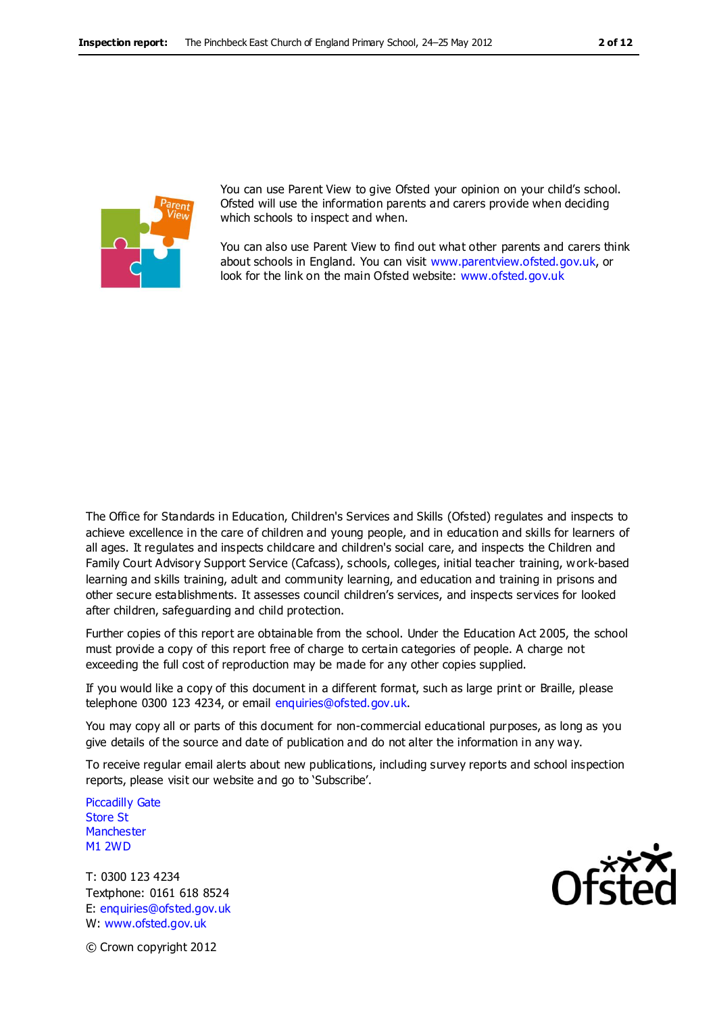

You can use Parent View to give Ofsted your opinion on your child's school. Ofsted will use the information parents and carers provide when deciding which schools to inspect and when.

You can also use Parent View to find out what other parents and carers think about schools in England. You can visit [www.parentview.ofsted.gov.uk,](http://www.parentview.ofsted.gov.uk/) or look for the link on the main Ofsted website: [www.ofsted.gov.uk](http://www.ofsted.gov.uk/)

The Office for Standards in Education, Children's Services and Skills (Ofsted) regulates and inspects to achieve excellence in the care of children and young people, and in education and skills for learners of all ages. It regulates and inspects childcare and children's social care, and inspects the Children and Family Court Advisory Support Service (Cafcass), schools, colleges, initial teacher training, work-based learning and skills training, adult and community learning, and education and training in prisons and other secure establishments. It assesses council children's services, and inspects services for looked after children, safeguarding and child protection.

Further copies of this report are obtainable from the school. Under the Education Act 2005, the school must provide a copy of this report free of charge to certain categories of people. A charge not exceeding the full cost of reproduction may be made for any other copies supplied.

If you would like a copy of this document in a different format, such as large print or Braille, please telephone 0300 123 4234, or email enquiries@ofsted.gov.uk.

You may copy all or parts of this document for non-commercial educational purposes, as long as you give details of the source and date of publication and do not alter the information in any way.

To receive regular email alerts about new publications, including survey reports and school inspection reports, please visit our website and go to 'Subscribe'.

Piccadilly Gate Store St **Manchester** M1 2WD

T: 0300 123 4234 Textphone: 0161 618 8524 E: enquiries@ofsted.gov.uk W: www.ofsted.gov.uk



© Crown copyright 2012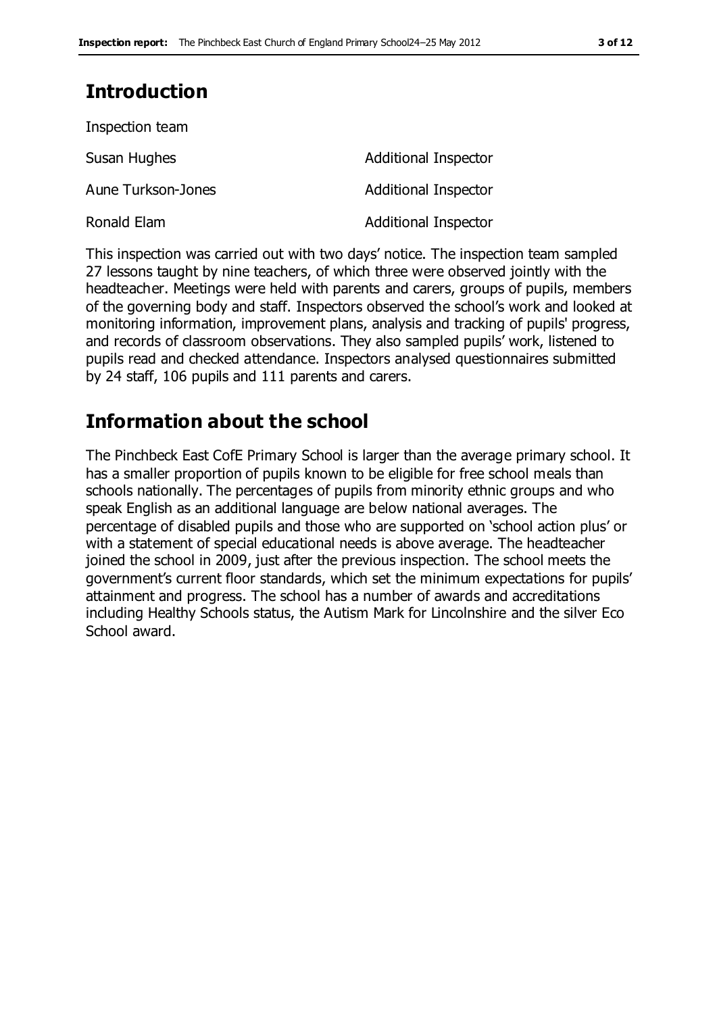# **Introduction**

| Inspection team    |                             |
|--------------------|-----------------------------|
| Susan Hughes       | Additional Inspector        |
| Aune Turkson-Jones | <b>Additional Inspector</b> |
| Ronald Elam        | <b>Additional Inspector</b> |

This inspection was carried out with two days' notice. The inspection team sampled 27 lessons taught by nine teachers, of which three were observed jointly with the headteacher. Meetings were held with parents and carers, groups of pupils, members of the governing body and staff. Inspectors observed the school's work and looked at monitoring information, improvement plans, analysis and tracking of pupils' progress, and records of classroom observations. They also sampled pupils' work, listened to pupils read and checked attendance. Inspectors analysed questionnaires submitted by 24 staff, 106 pupils and 111 parents and carers.

## **Information about the school**

The Pinchbeck East CofE Primary School is larger than the average primary school. It has a smaller proportion of pupils known to be eligible for free school meals than schools nationally. The percentages of pupils from minority ethnic groups and who speak English as an additional language are below national averages. The percentage of disabled pupils and those who are supported on 'school action plus' or with a statement of special educational needs is above average. The headteacher joined the school in 2009, just after the previous inspection. The school meets the government's current floor standards, which set the minimum expectations for pupils' attainment and progress. The school has a number of awards and accreditations including Healthy Schools status, the Autism Mark for Lincolnshire and the silver Eco School award.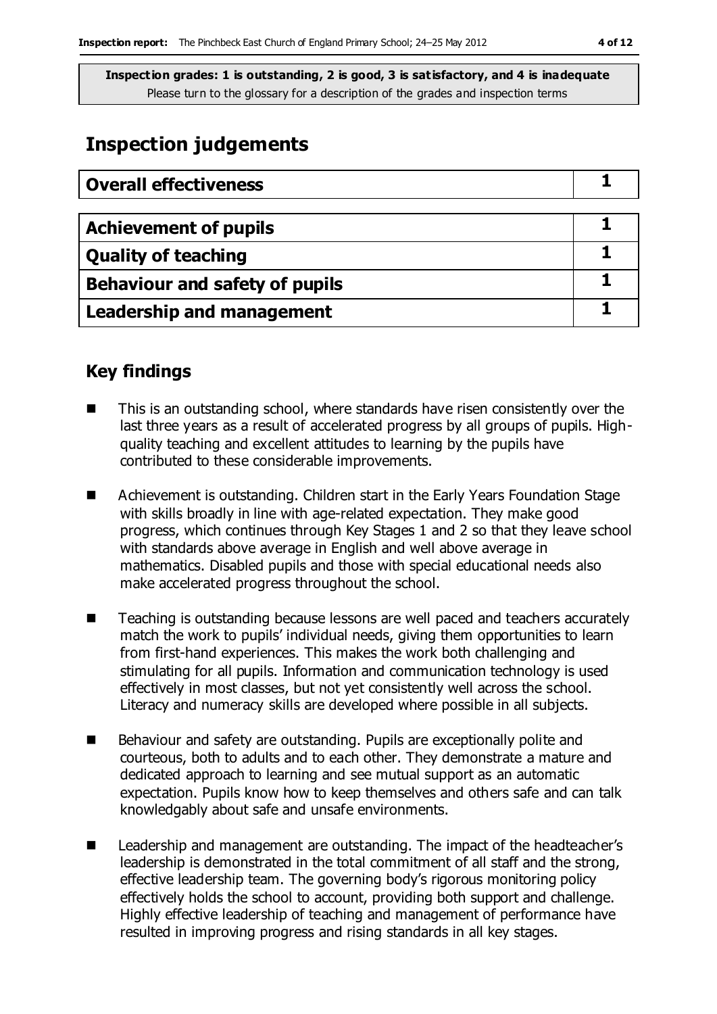# **Inspection judgements**

| <b>Overall effectiveness</b>     |  |
|----------------------------------|--|
|                                  |  |
| <b>Achievement of pupils</b>     |  |
| <b>Quality of teaching</b>       |  |
| Behaviour and safety of pupils   |  |
| <b>Leadership and management</b> |  |

## **Key findings**

- This is an outstanding school, where standards have risen consistently over the last three years as a result of accelerated progress by all groups of pupils. Highquality teaching and excellent attitudes to learning by the pupils have contributed to these considerable improvements.
- Achievement is outstanding. Children start in the Early Years Foundation Stage with skills broadly in line with age-related expectation. They make good progress, which continues through Key Stages 1 and 2 so that they leave school with standards above average in English and well above average in mathematics. Disabled pupils and those with special educational needs also make accelerated progress throughout the school.
- Teaching is outstanding because lessons are well paced and teachers accurately match the work to pupils' individual needs, giving them opportunities to learn from first-hand experiences. This makes the work both challenging and stimulating for all pupils. Information and communication technology is used effectively in most classes, but not yet consistently well across the school. Literacy and numeracy skills are developed where possible in all subjects.
- Behaviour and safety are outstanding. Pupils are exceptionally polite and courteous, both to adults and to each other. They demonstrate a mature and dedicated approach to learning and see mutual support as an automatic expectation. Pupils know how to keep themselves and others safe and can talk knowledgably about safe and unsafe environments.
- Leadership and management are outstanding. The impact of the headteacher's leadership is demonstrated in the total commitment of all staff and the strong, effective leadership team. The governing body's rigorous monitoring policy effectively holds the school to account, providing both support and challenge. Highly effective leadership of teaching and management of performance have resulted in improving progress and rising standards in all key stages.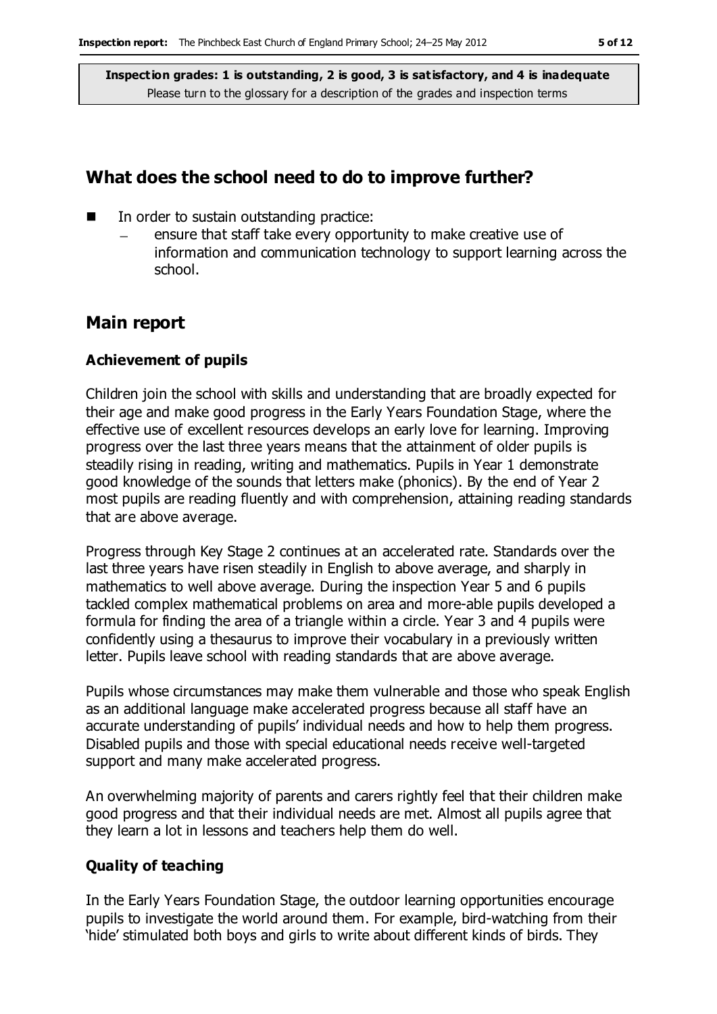## **What does the school need to do to improve further?**

- In order to sustain outstanding practice:
	- ensure that staff take every opportunity to make creative use of information and communication technology to support learning across the school.

### **Main report**

#### **Achievement of pupils**

Children join the school with skills and understanding that are broadly expected for their age and make good progress in the Early Years Foundation Stage, where the effective use of excellent resources develops an early love for learning. Improving progress over the last three years means that the attainment of older pupils is steadily rising in reading, writing and mathematics. Pupils in Year 1 demonstrate good knowledge of the sounds that letters make (phonics). By the end of Year 2 most pupils are reading fluently and with comprehension, attaining reading standards that are above average.

Progress through Key Stage 2 continues at an accelerated rate. Standards over the last three years have risen steadily in English to above average, and sharply in mathematics to well above average. During the inspection Year 5 and 6 pupils tackled complex mathematical problems on area and more-able pupils developed a formula for finding the area of a triangle within a circle. Year 3 and 4 pupils were confidently using a thesaurus to improve their vocabulary in a previously written letter. Pupils leave school with reading standards that are above average.

Pupils whose circumstances may make them vulnerable and those who speak English as an additional language make accelerated progress because all staff have an accurate understanding of pupils' individual needs and how to help them progress. Disabled pupils and those with special educational needs receive well-targeted support and many make accelerated progress.

An overwhelming majority of parents and carers rightly feel that their children make good progress and that their individual needs are met. Almost all pupils agree that they learn a lot in lessons and teachers help them do well.

#### **Quality of teaching**

In the Early Years Foundation Stage, the outdoor learning opportunities encourage pupils to investigate the world around them. For example, bird-watching from their 'hide' stimulated both boys and girls to write about different kinds of birds. They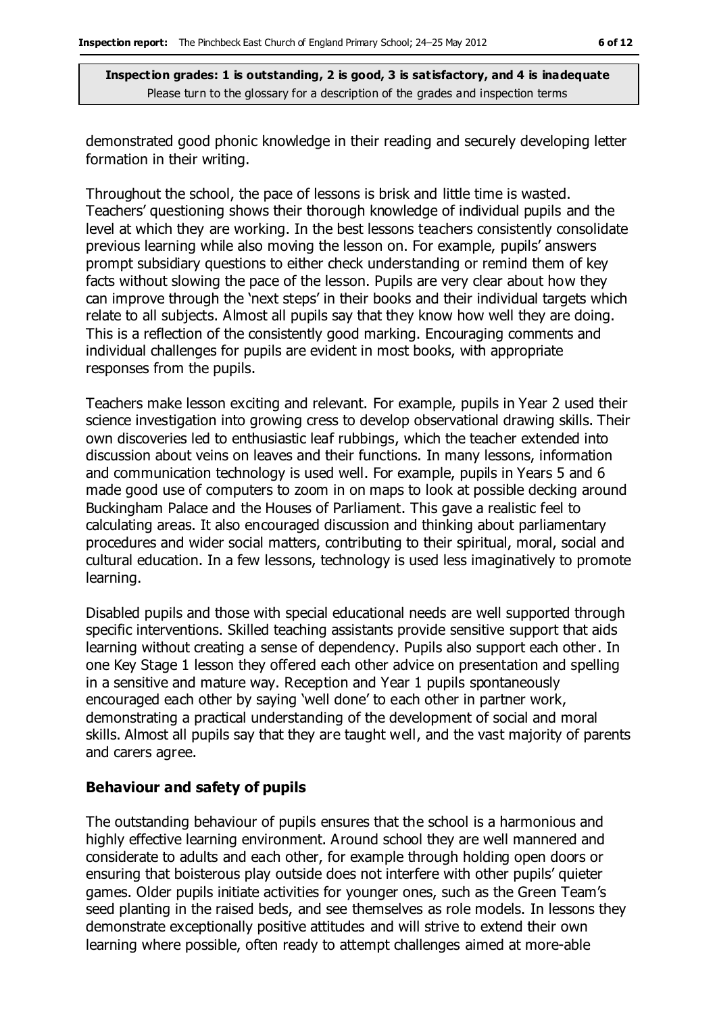demonstrated good phonic knowledge in their reading and securely developing letter formation in their writing.

Throughout the school, the pace of lessons is brisk and little time is wasted. Teachers' questioning shows their thorough knowledge of individual pupils and the level at which they are working. In the best lessons teachers consistently consolidate previous learning while also moving the lesson on. For example, pupils' answers prompt subsidiary questions to either check understanding or remind them of key facts without slowing the pace of the lesson. Pupils are very clear about how they can improve through the 'next steps' in their books and their individual targets which relate to all subjects. Almost all pupils say that they know how well they are doing. This is a reflection of the consistently good marking. Encouraging comments and individual challenges for pupils are evident in most books, with appropriate responses from the pupils.

Teachers make lesson exciting and relevant. For example, pupils in Year 2 used their science investigation into growing cress to develop observational drawing skills. Their own discoveries led to enthusiastic leaf rubbings, which the teacher extended into discussion about veins on leaves and their functions. In many lessons, information and communication technology is used well. For example, pupils in Years 5 and 6 made good use of computers to zoom in on maps to look at possible decking around Buckingham Palace and the Houses of Parliament. This gave a realistic feel to calculating areas. It also encouraged discussion and thinking about parliamentary procedures and wider social matters, contributing to their spiritual, moral, social and cultural education. In a few lessons, technology is used less imaginatively to promote learning.

Disabled pupils and those with special educational needs are well supported through specific interventions. Skilled teaching assistants provide sensitive support that aids learning without creating a sense of dependency. Pupils also support each other. In one Key Stage 1 lesson they offered each other advice on presentation and spelling in a sensitive and mature way. Reception and Year 1 pupils spontaneously encouraged each other by saying 'well done' to each other in partner work, demonstrating a practical understanding of the development of social and moral skills. Almost all pupils say that they are taught well, and the vast majority of parents and carers agree.

#### **Behaviour and safety of pupils**

The outstanding behaviour of pupils ensures that the school is a harmonious and highly effective learning environment. Around school they are well mannered and considerate to adults and each other, for example through holding open doors or ensuring that boisterous play outside does not interfere with other pupils' quieter games. Older pupils initiate activities for younger ones, such as the Green Team's seed planting in the raised beds, and see themselves as role models. In lessons they demonstrate exceptionally positive attitudes and will strive to extend their own learning where possible, often ready to attempt challenges aimed at more-able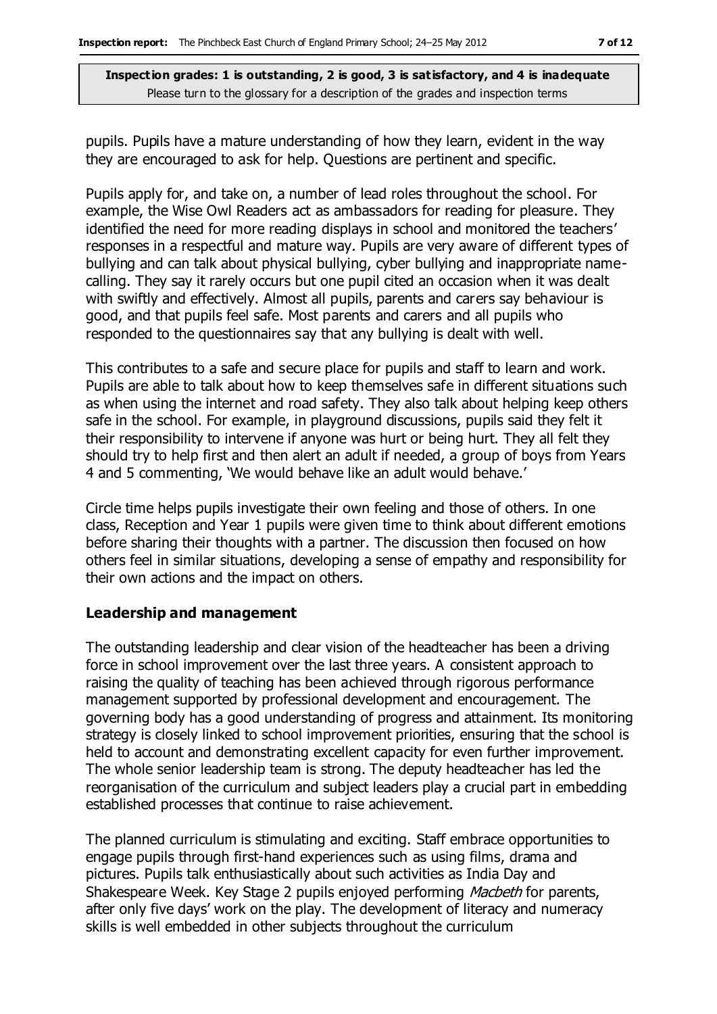pupils. Pupils have a mature understanding of how they learn, evident in the way they are encouraged to ask for help. Questions are pertinent and specific.

Pupils apply for, and take on, a number of lead roles throughout the school. For example, the Wise Owl Readers act as ambassadors for reading for pleasure. They identified the need for more reading displays in school and monitored the teachers' responses in a respectful and mature way. Pupils are very aware of different types of bullying and can talk about physical bullying, cyber bullying and inappropriate namecalling. They say it rarely occurs but one pupil cited an occasion when it was dealt with swiftly and effectively. Almost all pupils, parents and carers say behaviour is good, and that pupils feel safe. Most parents and carers and all pupils who responded to the questionnaires say that any bullying is dealt with well.

This contributes to a safe and secure place for pupils and staff to learn and work. Pupils are able to talk about how to keep themselves safe in different situations such as when using the internet and road safety. They also talk about helping keep others safe in the school. For example, in playground discussions, pupils said they felt it their responsibility to intervene if anyone was hurt or being hurt. They all felt they should try to help first and then alert an adult if needed, a group of boys from Years 4 and 5 commenting, 'We would behave like an adult would behave.'

Circle time helps pupils investigate their own feeling and those of others. In one class, Reception and Year 1 pupils were given time to think about different emotions before sharing their thoughts with a partner. The discussion then focused on how others feel in similar situations, developing a sense of empathy and responsibility for their own actions and the impact on others.

#### **Leadership and management**

The outstanding leadership and clear vision of the headteacher has been a driving force in school improvement over the last three years. A consistent approach to raising the quality of teaching has been achieved through rigorous performance management supported by professional development and encouragement. The governing body has a good understanding of progress and attainment. Its monitoring strategy is closely linked to school improvement priorities, ensuring that the school is held to account and demonstrating excellent capacity for even further improvement. The whole senior leadership team is strong. The deputy headteacher has led the reorganisation of the curriculum and subject leaders play a crucial part in embedding established processes that continue to raise achievement.

The planned curriculum is stimulating and exciting. Staff embrace opportunities to engage pupils through first-hand experiences such as using films, drama and pictures. Pupils talk enthusiastically about such activities as India Day and Shakespeare Week. Key Stage 2 pupils enjoyed performing *Macbeth* for parents, after only five days' work on the play. The development of literacy and numeracy skills is well embedded in other subjects throughout the curriculum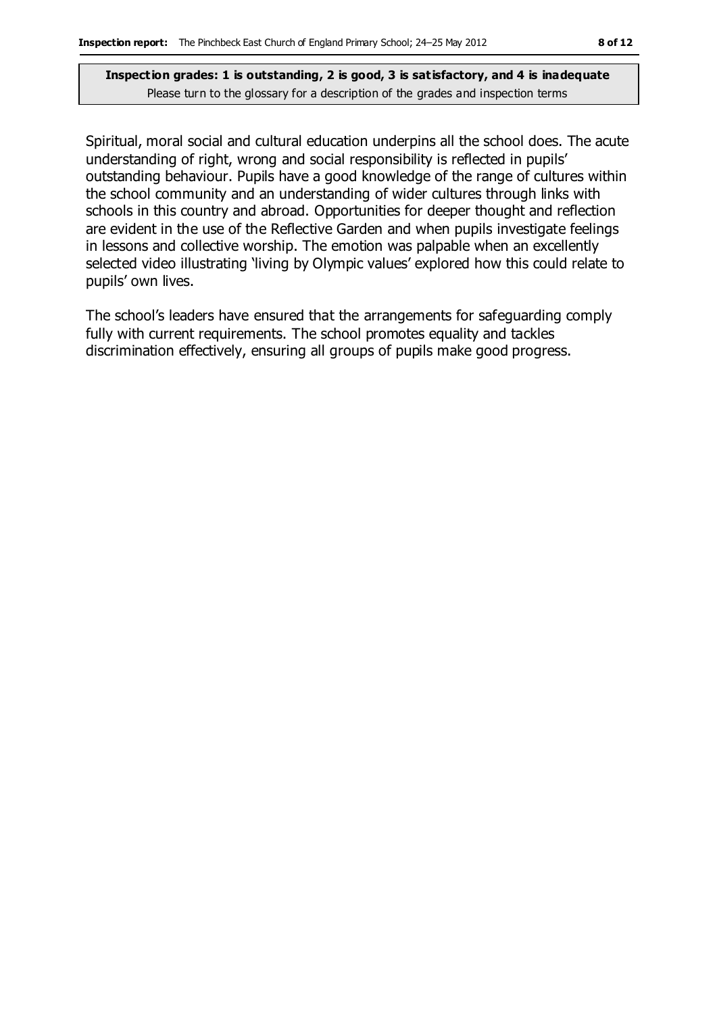Spiritual, moral social and cultural education underpins all the school does. The acute understanding of right, wrong and social responsibility is reflected in pupils' outstanding behaviour. Pupils have a good knowledge of the range of cultures within the school community and an understanding of wider cultures through links with schools in this country and abroad. Opportunities for deeper thought and reflection are evident in the use of the Reflective Garden and when pupils investigate feelings in lessons and collective worship. The emotion was palpable when an excellently selected video illustrating 'living by Olympic values' explored how this could relate to pupils' own lives.

The school's leaders have ensured that the arrangements for safeguarding comply fully with current requirements. The school promotes equality and tackles discrimination effectively, ensuring all groups of pupils make good progress.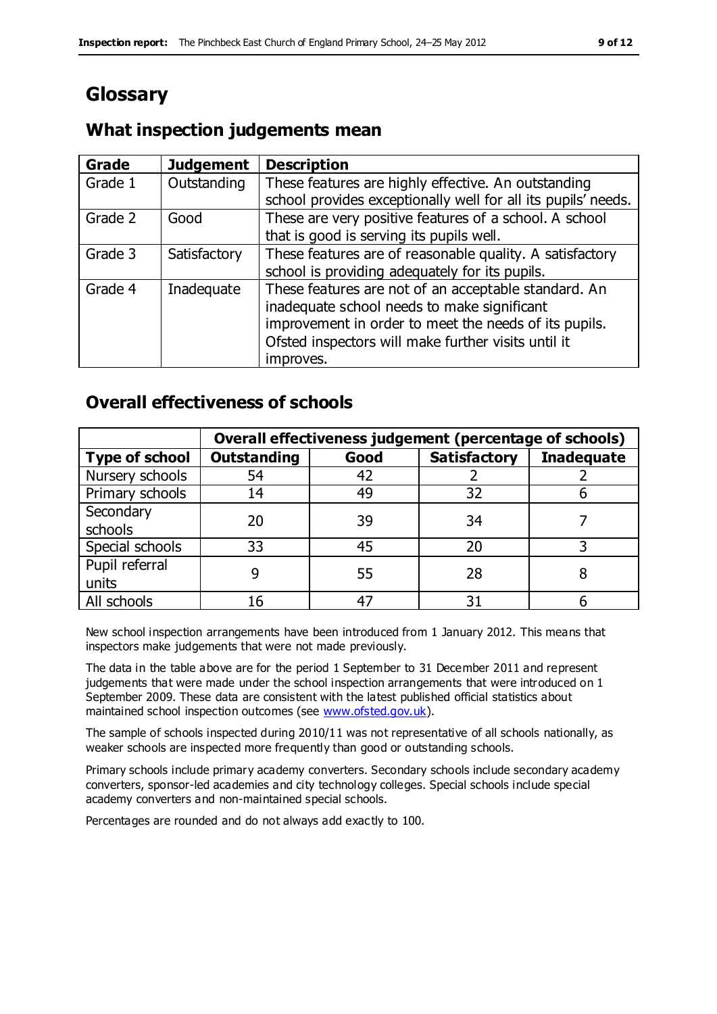# **Glossary**

## **What inspection judgements mean**

| Grade   | <b>Judgement</b> | <b>Description</b>                                            |
|---------|------------------|---------------------------------------------------------------|
| Grade 1 | Outstanding      | These features are highly effective. An outstanding           |
|         |                  | school provides exceptionally well for all its pupils' needs. |
| Grade 2 | Good             | These are very positive features of a school. A school        |
|         |                  | that is good is serving its pupils well.                      |
| Grade 3 | Satisfactory     | These features are of reasonable quality. A satisfactory      |
|         |                  | school is providing adequately for its pupils.                |
| Grade 4 | Inadequate       | These features are not of an acceptable standard. An          |
|         |                  | inadequate school needs to make significant                   |
|         |                  | improvement in order to meet the needs of its pupils.         |
|         |                  | Ofsted inspectors will make further visits until it           |
|         |                  | improves.                                                     |

## **Overall effectiveness of schools**

|                       | Overall effectiveness judgement (percentage of schools) |      |                     |                   |
|-----------------------|---------------------------------------------------------|------|---------------------|-------------------|
| <b>Type of school</b> | <b>Outstanding</b>                                      | Good | <b>Satisfactory</b> | <b>Inadequate</b> |
| Nursery schools       | 54                                                      | 42   |                     |                   |
| Primary schools       | 14                                                      | 49   | 32                  |                   |
| Secondary             | 20                                                      | 39   | 34                  |                   |
| schools               |                                                         |      |                     |                   |
| Special schools       | 33                                                      | 45   | 20                  |                   |
| Pupil referral        |                                                         | 55   | 28                  |                   |
| units                 |                                                         |      |                     |                   |
| All schools           | 16                                                      | 47   | 31                  |                   |

New school inspection arrangements have been introduced from 1 January 2012. This means that inspectors make judgements that were not made previously.

The data in the table above are for the period 1 September to 31 December 2011 and represent judgements that were made under the school inspection arrangements that were introduced on 1 September 2009. These data are consistent with the latest published official statistics about maintained school inspection outcomes (see [www.ofsted.gov.uk\)](http://www.ofsted.gov.uk/).

The sample of schools inspected during 2010/11 was not representative of all schools nationally, as weaker schools are inspected more frequently than good or outstanding schools.

Primary schools include primary academy converters. Secondary schools include secondary academy converters, sponsor-led academies and city technology colleges. Special schools include special academy converters and non-maintained special schools.

Percentages are rounded and do not always add exactly to 100.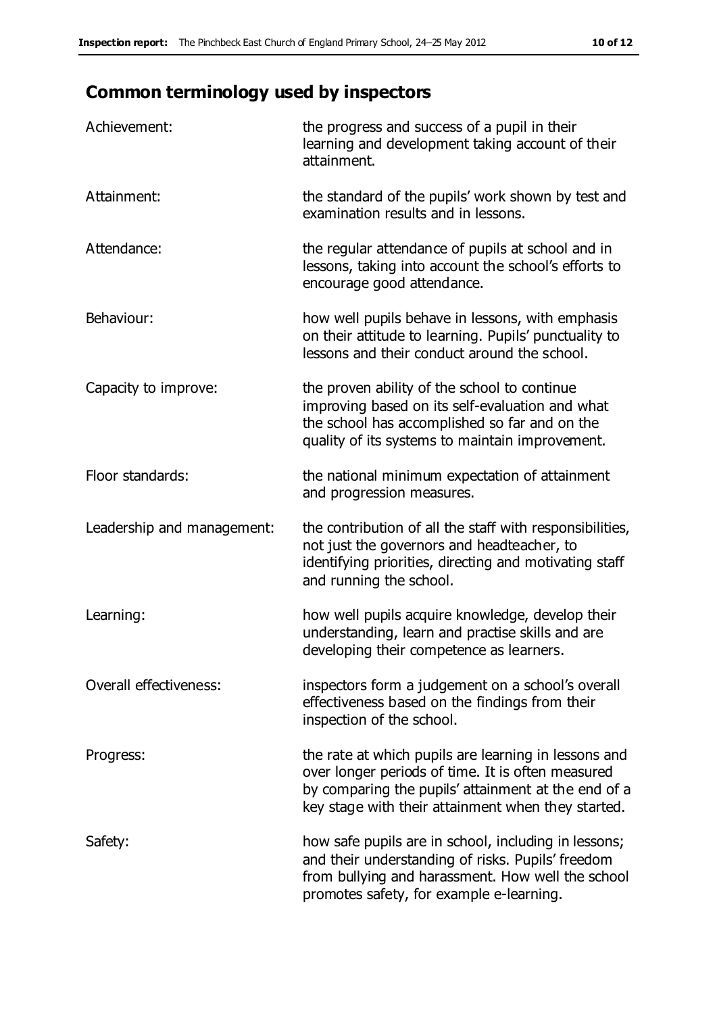# **Common terminology used by inspectors**

| Achievement:               | the progress and success of a pupil in their<br>learning and development taking account of their<br>attainment.                                                                                                        |
|----------------------------|------------------------------------------------------------------------------------------------------------------------------------------------------------------------------------------------------------------------|
| Attainment:                | the standard of the pupils' work shown by test and<br>examination results and in lessons.                                                                                                                              |
| Attendance:                | the regular attendance of pupils at school and in<br>lessons, taking into account the school's efforts to<br>encourage good attendance.                                                                                |
| Behaviour:                 | how well pupils behave in lessons, with emphasis<br>on their attitude to learning. Pupils' punctuality to<br>lessons and their conduct around the school.                                                              |
| Capacity to improve:       | the proven ability of the school to continue<br>improving based on its self-evaluation and what<br>the school has accomplished so far and on the<br>quality of its systems to maintain improvement.                    |
| Floor standards:           | the national minimum expectation of attainment<br>and progression measures.                                                                                                                                            |
| Leadership and management: | the contribution of all the staff with responsibilities,<br>not just the governors and headteacher, to<br>identifying priorities, directing and motivating staff<br>and running the school.                            |
| Learning:                  | how well pupils acquire knowledge, develop their<br>understanding, learn and practise skills and are<br>developing their competence as learners.                                                                       |
| Overall effectiveness:     | inspectors form a judgement on a school's overall<br>effectiveness based on the findings from their<br>inspection of the school.                                                                                       |
| Progress:                  | the rate at which pupils are learning in lessons and<br>over longer periods of time. It is often measured<br>by comparing the pupils' attainment at the end of a<br>key stage with their attainment when they started. |
| Safety:                    | how safe pupils are in school, including in lessons;<br>and their understanding of risks. Pupils' freedom<br>from bullying and harassment. How well the school<br>promotes safety, for example e-learning.             |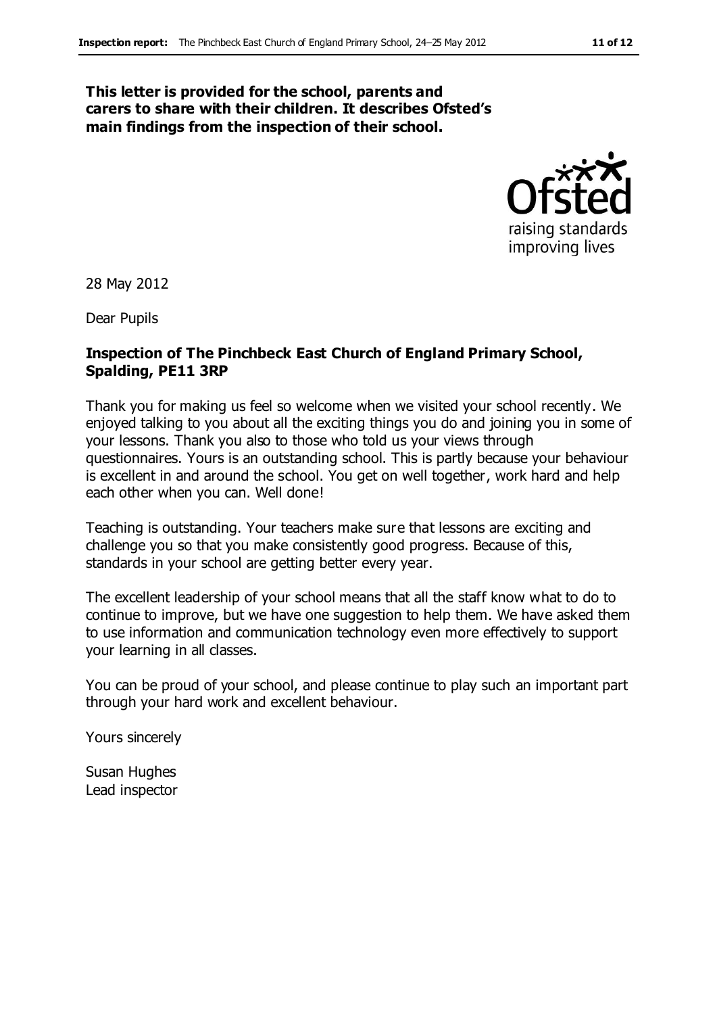#### **This letter is provided for the school, parents and carers to share with their children. It describes Ofsted's main findings from the inspection of their school.**



28 May 2012

Dear Pupils

#### **Inspection of The Pinchbeck East Church of England Primary School, Spalding, PE11 3RP**

Thank you for making us feel so welcome when we visited your school recently. We enjoyed talking to you about all the exciting things you do and joining you in some of your lessons. Thank you also to those who told us your views through questionnaires. Yours is an outstanding school. This is partly because your behaviour is excellent in and around the school. You get on well together, work hard and help each other when you can. Well done!

Teaching is outstanding. Your teachers make sure that lessons are exciting and challenge you so that you make consistently good progress. Because of this, standards in your school are getting better every year.

The excellent leadership of your school means that all the staff know what to do to continue to improve, but we have one suggestion to help them. We have asked them to use information and communication technology even more effectively to support your learning in all classes.

You can be proud of your school, and please continue to play such an important part through your hard work and excellent behaviour.

Yours sincerely

Susan Hughes Lead inspector